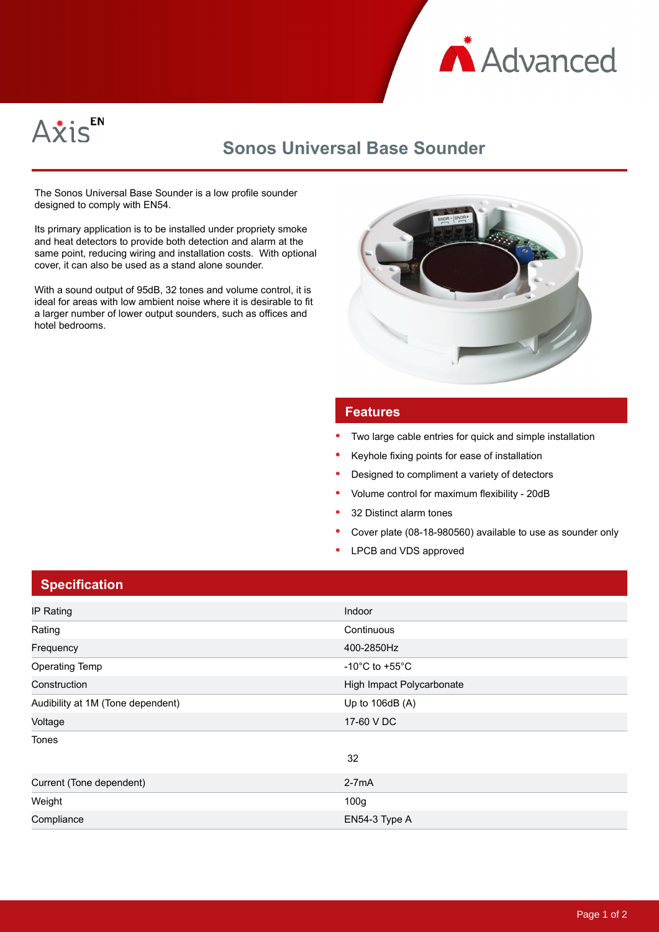



## **Sonos Universal Base Sounder**

The Sonos Universal Base Sounder is a low profile sounder designed to comply with EN54.

Its primary application is to be installed under propriety smoke and heat detectors to provide both detection and alarm at the same point, reducing wiring and installation costs. With optional cover, it can also be used as a stand alone sounder.

With a sound output of 95dB, 32 tones and volume control, it is ideal for areas with low ambient noise where it is desirable to fit a larger number of lower output sounders, such as offices and hotel bedrooms.



## **Features**

- Two large cable entries for quick and simple installation
- Keyhole fixing points for ease of installation
- Designed to compliment a variety of detectors
- Volume control for maximum flexibility 20dB
- 32 Distinct alarm tones
- Cover plate (08-18-980560) available to use as sounder only
- LPCB and VDS approved

| <b>Specification</b> |
|----------------------|
|                      |

| IP Rating                         | Indoor                               |
|-----------------------------------|--------------------------------------|
| Rating                            | Continuous                           |
| Frequency                         | 400-2850Hz                           |
| <b>Operating Temp</b>             | -10 $^{\circ}$ C to +55 $^{\circ}$ C |
| Construction                      | High Impact Polycarbonate            |
| Audibility at 1M (Tone dependent) | Up to $106dB(A)$                     |
| Voltage                           | 17-60 V DC                           |
| Tones                             |                                      |
|                                   | 32                                   |
| Current (Tone dependent)          | $2-7mA$                              |
| Weight                            | 100g                                 |
| Compliance                        | EN54-3 Type A                        |